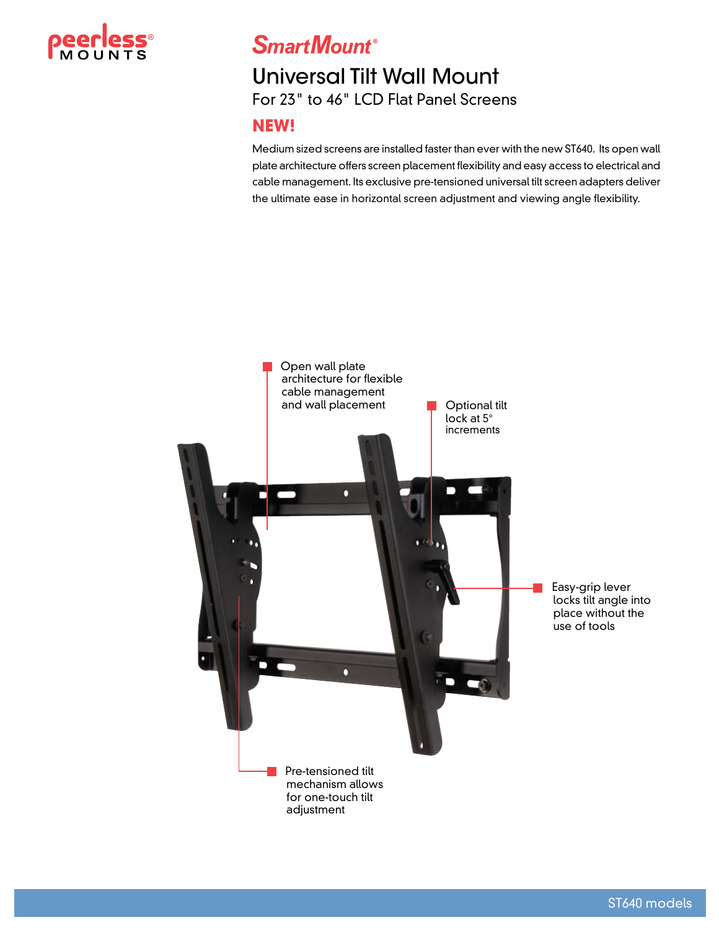

**SmartMount®** 

# Universal Tilt Wall Mount For 23" to 46" LCD Flat Panel Screens

#### **NEW!**

Medium sized screens are installed faster than ever with the new ST640. Its open wall plate architecture offers screen placement flexibility and easy access to electrical and cable management. Its exclusive pre-tensioned universal tilt screen adapters deliver the ultimate ease in horizontal screen adjustment and viewing angle flexibility.